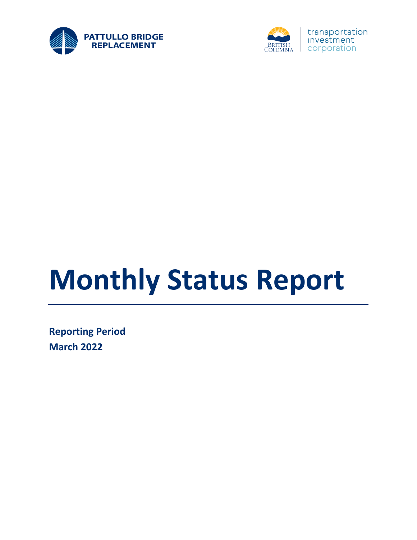



# **Monthly Status Report**

**Reporting Period March 2022**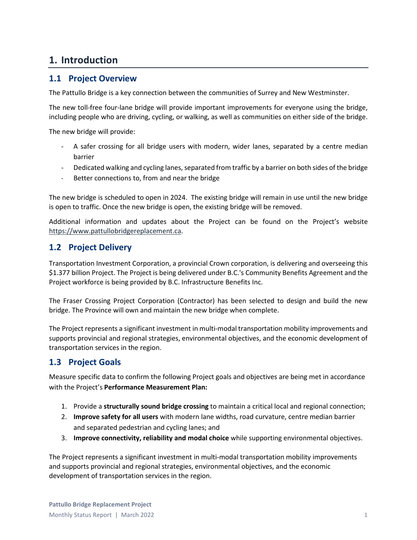#### **1. Introduction**

#### **1.1 Project Overview**

The Pattullo Bridge is a key connection between the communities of Surrey and New Westminster.

The new toll-free four-lane bridge will provide important improvements for everyone using the bridge, including people who are driving, cycling, or walking, as well as communities on either side of the bridge.

The new bridge will provide:

- A safer crossing for all bridge users with modern, wider lanes, separated by a centre median barrier
- Dedicated walking and cycling lanes, separated from traffic by a barrier on both sides of the bridge
- Better connections to, from and near the bridge

The new bridge is scheduled to open in 2024. The existing bridge will remain in use until the new bridge is open to traffic. Once the new bridge is open, the existing bridge will be removed.

Additional information and updates about the Project can be found on the Project's website [https://www.pattullobridgereplacement.ca.](https://www.pattullobridgereplacement.ca/)

#### **1.2 Project Delivery**

Transportation Investment Corporation, a provincial Crown corporation, is delivering and overseeing this \$1.377 billion Project. The Project is being delivered under B.C.'s Community Benefits Agreement and the Project workforce is being provided by B.C. Infrastructure Benefits Inc.

The Fraser Crossing Project Corporation (Contractor) has been selected to design and build the new bridge. The Province will own and maintain the new bridge when complete.

The Project represents a significant investment in multi-modal transportation mobility improvements and supports provincial and regional strategies, environmental objectives, and the economic development of transportation services in the region.

#### **1.3 Project Goals**

Measure specific data to confirm the following Project goals and objectives are being met in accordance with the Project's **Performance Measurement Plan:**

- 1. Provide a **structurally sound bridge crossing** to maintain a critical local and regional connection;
- 2. **Improve safety for all users** with modern lane widths, road curvature, centre median barrier and separated pedestrian and cycling lanes; and
- 3. **Improve connectivity, reliability and modal choice** while supporting environmental objectives.

The Project represents a significant investment in multi-modal transportation mobility improvements and supports provincial and regional strategies, environmental objectives, and the economic development of transportation services in the region.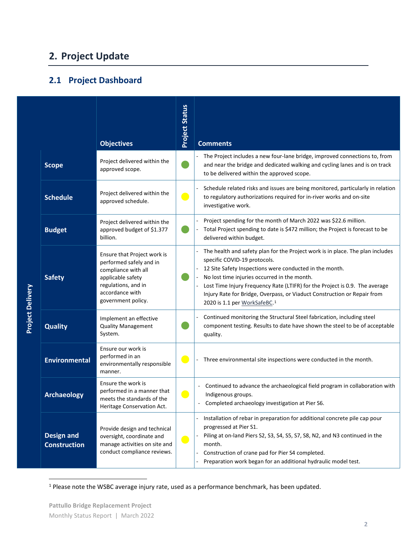## **2. Project Update**

#### **2.1 Project Dashboard**

|                         |                                          | <b>Objectives</b>                                                                                                                                                  | <b>Project Status</b>    | <b>Comments</b>                                                                                                                                                                                                                                                                                                                                                                                                                  |
|-------------------------|------------------------------------------|--------------------------------------------------------------------------------------------------------------------------------------------------------------------|--------------------------|----------------------------------------------------------------------------------------------------------------------------------------------------------------------------------------------------------------------------------------------------------------------------------------------------------------------------------------------------------------------------------------------------------------------------------|
|                         | <b>Scope</b>                             | Project delivered within the<br>approved scope.                                                                                                                    |                          | The Project includes a new four-lane bridge, improved connections to, from<br>and near the bridge and dedicated walking and cycling lanes and is on track<br>to be delivered within the approved scope.                                                                                                                                                                                                                          |
|                         | <b>Schedule</b>                          | Project delivered within the<br>approved schedule.                                                                                                                 | $\blacksquare$           | Schedule related risks and issues are being monitored, particularly in relation<br>to regulatory authorizations required for in-river works and on-site<br>investigative work.                                                                                                                                                                                                                                                   |
|                         | <b>Budget</b>                            | Project delivered within the<br>approved budget of \$1.377<br>billion.                                                                                             |                          | Project spending for the month of March 2022 was \$22.6 million.<br>Total Project spending to date is \$472 million; the Project is forecast to be<br>delivered within budget.                                                                                                                                                                                                                                                   |
| <b>Project Delivery</b> | <b>Safety</b>                            | Ensure that Project work is<br>performed safely and in<br>compliance with all<br>applicable safety<br>regulations, and in<br>accordance with<br>government policy. |                          | The health and safety plan for the Project work is in place. The plan includes<br>specific COVID-19 protocols.<br>12 Site Safety Inspections were conducted in the month.<br>No lost time injuries occurred in the month.<br>Lost Time Injury Frequency Rate (LTIFR) for the Project is 0.9. The average<br>Injury Rate for Bridge, Overpass, or Viaduct Construction or Repair from<br>2020 is 1.1 per WorkSafeBC. <sup>1</sup> |
|                         | <b>Quality</b>                           | Implement an effective<br><b>Quality Management</b><br>System.                                                                                                     |                          | Continued monitoring the Structural Steel fabrication, including steel<br>component testing. Results to date have shown the steel to be of acceptable<br>quality.                                                                                                                                                                                                                                                                |
|                         | <b>Environmental</b>                     | Ensure our work is<br>performed in an<br>environmentally responsible<br>manner.                                                                                    | $\blacksquare$           | Three environmental site inspections were conducted in the month.                                                                                                                                                                                                                                                                                                                                                                |
|                         | <b>Archaeology</b>                       | Ensure the work is<br>performed in a manner that<br>meets the standards of the<br>Heritage Conservation Act.                                                       | $\overline{\phantom{a}}$ | Continued to advance the archaeological field program in collaboration with<br>Indigenous groups.<br>Completed archaeology investigation at Pier S6.                                                                                                                                                                                                                                                                             |
|                         | <b>Design and</b><br><b>Construction</b> | Provide design and technical<br>oversight, coordinate and<br>manage activities on site and<br>conduct compliance reviews.                                          | $\bullet$                | Installation of rebar in preparation for additional concrete pile cap pour<br>progressed at Pier S1.<br>Piling at on-land Piers S2, S3, S4, S5, S7, S8, N2, and N3 continued in the<br>month.<br>Construction of crane pad for Pier S4 completed.<br>$\overline{\phantom{a}}$<br>Preparation work began for an additional hydraulic model test.                                                                                  |

<span id="page-2-0"></span><sup>&</sup>lt;sup>1</sup> Please note the WSBC average injury rate, used as a performance benchmark, has been updated.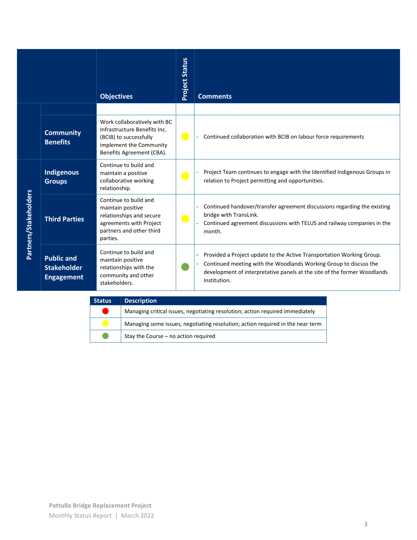|                       |                                                              | <b>Objectives</b>                                                                                                                              | <b>Project Status</b> | <b>Comments</b>                                                                                                                                                                                                                        |
|-----------------------|--------------------------------------------------------------|------------------------------------------------------------------------------------------------------------------------------------------------|-----------------------|----------------------------------------------------------------------------------------------------------------------------------------------------------------------------------------------------------------------------------------|
|                       |                                                              |                                                                                                                                                |                       |                                                                                                                                                                                                                                        |
|                       | <b>Community</b><br><b>Benefits</b>                          | Work collaboratively with BC<br>Infrastructure Benefits Inc.<br>(BCIB) to successfully<br>implement the Community<br>Benefits Agreement (CBA). | $\bullet$             | Continued collaboration with BCIB on labour force requirements                                                                                                                                                                         |
|                       | Indigenous<br><b>Groups</b>                                  | Continue to build and<br>maintain a positive<br>collaborative working<br>relationship.                                                         | $\bullet$             | Project Team continues to engage with the Identified Indigenous Groups in<br>relation to Project permitting and opportunities.                                                                                                         |
| Partners/Stakeholders | <b>Third Parties</b>                                         | Continue to build and<br>maintain positive<br>relationships and secure<br>agreements with Project<br>partners and other third<br>parties.      | $\bullet$             | Continued handover/transfer agreement discussions regarding the existing<br>bridge with TransLink.<br>Continued agreement discussions with TELUS and railway companies in the<br>month.                                                |
|                       | <b>Public and</b><br><b>Stakeholder</b><br><b>Engagement</b> | Continue to build and<br>maintain positive<br>relationships with the<br>community and other<br>stakeholders.                                   |                       | Provided a Project update to the Active Transportation Working Group.<br>Continued meeting with the Woodlands Working Group to discuss the<br>development of interpretative panels at the site of the former Woodlands<br>Institution. |

| <b>Status</b> | <b>Description</b>                                                             |
|---------------|--------------------------------------------------------------------------------|
|               | Managing critical issues, negotiating resolution; action required immediately  |
|               | Managing some issues, negotiating resolution; action required in the near term |
|               | Stay the Course - no action required                                           |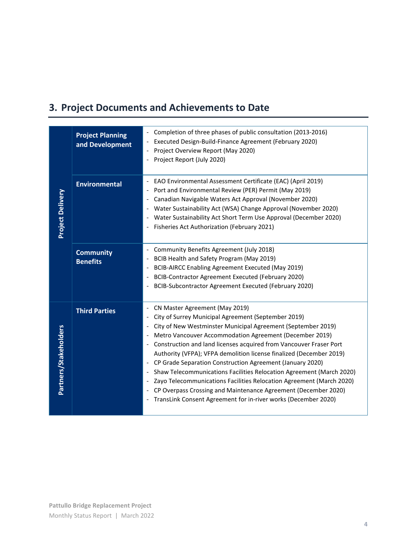# **3. Project Documents and Achievements to Date**

|                         | <b>Project Planning</b><br>and Development | Completion of three phases of public consultation (2013-2016)<br>Executed Design-Build-Finance Agreement (February 2020)<br>Project Overview Report (May 2020)<br>Project Report (July 2020)                                                                                                                                                                                                                                                                                                                                                                                                                                                                                                                                               |
|-------------------------|--------------------------------------------|--------------------------------------------------------------------------------------------------------------------------------------------------------------------------------------------------------------------------------------------------------------------------------------------------------------------------------------------------------------------------------------------------------------------------------------------------------------------------------------------------------------------------------------------------------------------------------------------------------------------------------------------------------------------------------------------------------------------------------------------|
| <b>Project Delivery</b> | <b>Environmental</b>                       | EAO Environmental Assessment Certificate (EAC) (April 2019)<br>Port and Environmental Review (PER) Permit (May 2019)<br>Canadian Navigable Waters Act Approval (November 2020)<br>Water Sustainability Act (WSA) Change Approval (November 2020)<br>Water Sustainability Act Short Term Use Approval (December 2020)<br>Fisheries Act Authorization (February 2021)                                                                                                                                                                                                                                                                                                                                                                        |
|                         | <b>Community</b><br><b>Benefits</b>        | Community Benefits Agreement (July 2018)<br>$\overline{\phantom{a}}$<br>BCIB Health and Safety Program (May 2019)<br>BCIB-AIRCC Enabling Agreement Executed (May 2019)<br>BCIB-Contractor Agreement Executed (February 2020)<br>BCIB-Subcontractor Agreement Executed (February 2020)                                                                                                                                                                                                                                                                                                                                                                                                                                                      |
| Partners/Stakeholders   | <b>Third Parties</b>                       | CN Master Agreement (May 2019)<br>City of Surrey Municipal Agreement (September 2019)<br>City of New Westminster Municipal Agreement (September 2019)<br>Metro Vancouver Accommodation Agreement (December 2019)<br>Construction and land licenses acquired from Vancouver Fraser Port<br>Authority (VFPA); VFPA demolition license finalized (December 2019)<br>CP Grade Separation Construction Agreement (January 2020)<br>$\overline{\phantom{a}}$<br>Shaw Telecommunications Facilities Relocation Agreement (March 2020)<br>Zayo Telecommunications Facilities Relocation Agreement (March 2020)<br>CP Overpass Crossing and Maintenance Agreement (December 2020)<br>TransLink Consent Agreement for in-river works (December 2020) |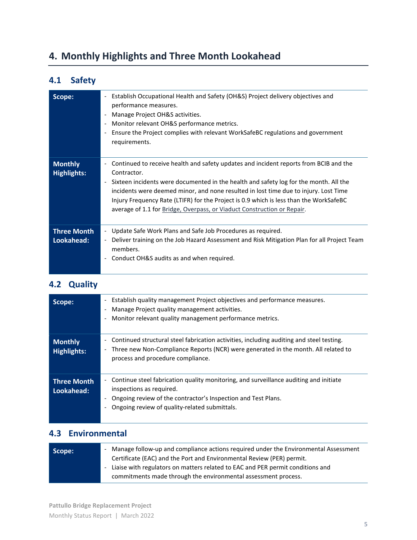## **4. Monthly Highlights and Three Month Lookahead**

#### **4.1 Safety**

| Scope:                               | Establish Occupational Health and Safety (OH&S) Project delivery objectives and<br>$\overline{\phantom{a}}$<br>performance measures.<br>Manage Project OH&S activities.<br>Monitor relevant OH&S performance metrics.<br>$\overline{\phantom{a}}$<br>Ensure the Project complies with relevant WorkSafeBC regulations and government<br>$\overline{\phantom{a}}$<br>requirements.                                                                                                                                  |
|--------------------------------------|--------------------------------------------------------------------------------------------------------------------------------------------------------------------------------------------------------------------------------------------------------------------------------------------------------------------------------------------------------------------------------------------------------------------------------------------------------------------------------------------------------------------|
| <b>Monthly</b><br><b>Highlights:</b> | Continued to receive health and safety updates and incident reports from BCIB and the<br>$\overline{\phantom{a}}$<br>Contractor.<br>Sixteen incidents were documented in the health and safety log for the month. All the<br>$\overline{\phantom{a}}$<br>incidents were deemed minor, and none resulted in lost time due to injury. Lost Time<br>Injury Frequency Rate (LTIFR) for the Project is 0.9 which is less than the WorkSafeBC<br>average of 1.1 for Bridge, Overpass, or Viaduct Construction or Repair. |
| <b>Three Month</b><br>Lookahead:     | Update Safe Work Plans and Safe Job Procedures as required.<br>$\blacksquare$<br>Deliver training on the Job Hazard Assessment and Risk Mitigation Plan for all Project Team<br>$\overline{\phantom{a}}$<br>members.<br>Conduct OH&S audits as and when required.<br>$\overline{\phantom{a}}$                                                                                                                                                                                                                      |

#### **4.2 Quality**

| Scope:                               | Establish quality management Project objectives and performance measures.<br>$\overline{\phantom{a}}$<br>Manage Project quality management activities.<br>Monitor relevant quality management performance metrics.                  |
|--------------------------------------|-------------------------------------------------------------------------------------------------------------------------------------------------------------------------------------------------------------------------------------|
| <b>Monthly</b><br><b>Highlights:</b> | Continued structural steel fabrication activities, including auditing and steel testing.<br>Three new Non-Compliance Reports (NCR) were generated in the month. All related to<br>۰<br>process and procedure compliance.            |
| <b>Three Month</b><br>Lookahead:     | Continue steel fabrication quality monitoring, and surveillance auditing and initiate<br>inspections as required.<br>Ongoing review of the contractor's Inspection and Test Plans.<br>Ongoing review of quality-related submittals. |

#### **4.3 Environmental**

| Scope: | - Manage follow-up and compliance actions required under the Environmental Assessment<br>Certificate (EAC) and the Port and Environmental Review (PER) permit. |
|--------|----------------------------------------------------------------------------------------------------------------------------------------------------------------|
|        | - Liaise with regulators on matters related to EAC and PER permit conditions and<br>commitments made through the environmental assessment process.             |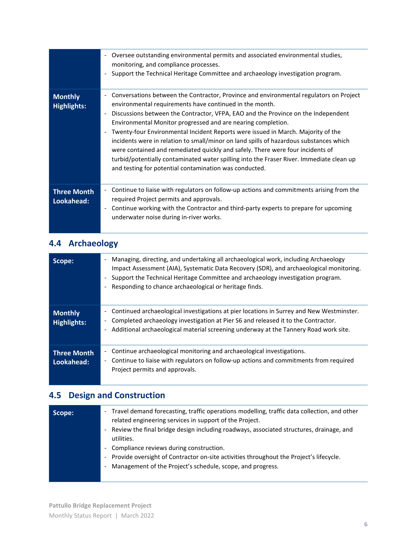|                                      | Oversee outstanding environmental permits and associated environmental studies,<br>$\overline{\phantom{a}}$<br>monitoring, and compliance processes.<br>Support the Technical Heritage Committee and archaeology investigation program.<br>$\overline{\phantom{a}}$                                                                                                                                                                                                                                                                                                                                                                                                                                                                                                |
|--------------------------------------|--------------------------------------------------------------------------------------------------------------------------------------------------------------------------------------------------------------------------------------------------------------------------------------------------------------------------------------------------------------------------------------------------------------------------------------------------------------------------------------------------------------------------------------------------------------------------------------------------------------------------------------------------------------------------------------------------------------------------------------------------------------------|
| <b>Monthly</b><br><b>Highlights:</b> | Conversations between the Contractor, Province and environmental regulators on Project<br>$\sim$<br>environmental requirements have continued in the month.<br>Discussions between the Contractor, VFPA, EAO and the Province on the Independent<br>$\overline{\phantom{a}}$<br>Environmental Monitor progressed and are nearing completion.<br>Twenty-four Environmental Incident Reports were issued in March. Majority of the<br>incidents were in relation to small/minor on land spills of hazardous substances which<br>were contained and remediated quickly and safely. There were four incidents of<br>turbid/potentially contaminated water spilling into the Fraser River. Immediate clean up<br>and testing for potential contamination was conducted. |
| <b>Three Month</b><br>Lookahead:     | Continue to liaise with regulators on follow-up actions and commitments arising from the<br>$\overline{\phantom{a}}$<br>required Project permits and approvals.<br>Continue working with the Contractor and third-party experts to prepare for upcoming<br>$\overline{\phantom{a}}$<br>underwater noise during in-river works.                                                                                                                                                                                                                                                                                                                                                                                                                                     |

## **4.4 Archaeology**

| Scope:                               | Managing, directing, and undertaking all archaeological work, including Archaeology<br>Impact Assessment (AIA), Systematic Data Recovery (SDR), and archaeological monitoring.<br>Support the Technical Heritage Committee and archaeology investigation program.<br>Responding to chance archaeological or heritage finds. |
|--------------------------------------|-----------------------------------------------------------------------------------------------------------------------------------------------------------------------------------------------------------------------------------------------------------------------------------------------------------------------------|
| <b>Monthly</b><br><b>Highlights:</b> | Continued archaeological investigations at pier locations in Surrey and New Westminster.<br>-<br>Completed archaeology investigation at Pier S6 and released it to the Contractor.<br>-<br>Additional archaeological material screening underway at the Tannery Road work site.                                             |
| <b>Three Month</b><br>Lookahead:     | Continue archaeological monitoring and archaeological investigations.<br>-<br>Continue to liaise with regulators on follow-up actions and commitments from required<br>Project permits and approvals.                                                                                                                       |

# **4.5 Design and Construction**

| Scope: | - Travel demand forecasting, traffic operations modelling, traffic data collection, and other<br>related engineering services in support of the Project.<br>- Review the final bridge design including roadways, associated structures, drainage, and |
|--------|-------------------------------------------------------------------------------------------------------------------------------------------------------------------------------------------------------------------------------------------------------|
|        | utilities.<br>- Compliance reviews during construction.                                                                                                                                                                                               |
|        | - Provide oversight of Contractor on-site activities throughout the Project's lifecycle.<br>Management of the Project's schedule, scope, and progress.<br>$\frac{1}{2}$                                                                               |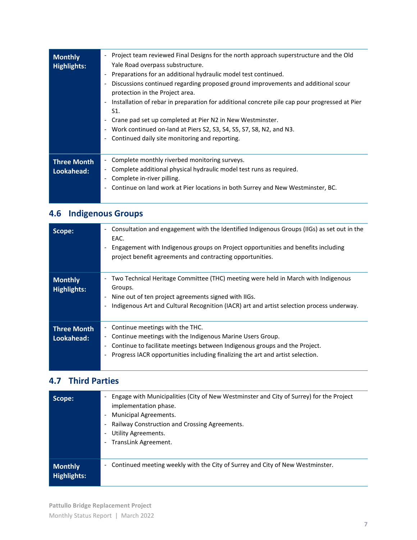| <b>Monthly</b><br><b>Highlights:</b> | Project team reviewed Final Designs for the north approach superstructure and the Old<br>$\overline{\phantom{0}}$<br>Yale Road overpass substructure.<br>Preparations for an additional hydraulic model test continued.<br>-<br>Discussions continued regarding proposed ground improvements and additional scour<br>-<br>protection in the Project area.<br>Installation of rebar in preparation for additional concrete pile cap pour progressed at Pier<br>$\overline{\phantom{a}}$<br>S1.<br>Crane pad set up completed at Pier N2 in New Westminster.<br>$\overline{\phantom{a}}$<br>Work continued on-land at Piers S2, S3, S4, S5, S7, S8, N2, and N3.<br>Ξ.<br>Continued daily site monitoring and reporting.<br>- |
|--------------------------------------|----------------------------------------------------------------------------------------------------------------------------------------------------------------------------------------------------------------------------------------------------------------------------------------------------------------------------------------------------------------------------------------------------------------------------------------------------------------------------------------------------------------------------------------------------------------------------------------------------------------------------------------------------------------------------------------------------------------------------|
| <b>Three Month</b><br>Lookahead:     | Complete monthly riverbed monitoring surveys.<br>$\overline{\phantom{a}}$<br>Complete additional physical hydraulic model test runs as required.<br>Ξ.<br>Complete in-river pilling.<br>Continue on land work at Pier locations in both Surrey and New Westminster, BC.<br>-                                                                                                                                                                                                                                                                                                                                                                                                                                               |

# **4.6 Indigenous Groups**

| Scope:                               | Consultation and engagement with the Identified Indigenous Groups (IIGs) as set out in the<br>$\overline{\phantom{a}}$<br>EAC.<br>Engagement with Indigenous groups on Project opportunities and benefits including<br>project benefit agreements and contracting opportunities.              |
|--------------------------------------|-----------------------------------------------------------------------------------------------------------------------------------------------------------------------------------------------------------------------------------------------------------------------------------------------|
| <b>Monthly</b><br><b>Highlights:</b> | Two Technical Heritage Committee (THC) meeting were held in March with Indigenous<br>Groups.<br>Nine out of ten project agreements signed with IIGs.<br>$\overline{\phantom{a}}$<br>Indigenous Art and Cultural Recognition (IACR) art and artist selection process underway.                 |
| <b>Three Month</b><br>Lookahead:     | Continue meetings with the THC.<br>Continue meetings with the Indigenous Marine Users Group.<br>-<br>Continue to facilitate meetings between Indigenous groups and the Project.<br>$\overline{\phantom{0}}$<br>Progress IACR opportunities including finalizing the art and artist selection. |

#### **4.7 Third Parties**

| Scope:             | Engage with Municipalities (City of New Westminster and City of Surrey) for the Project<br>$\qquad \qquad \blacksquare$<br>implementation phase.<br>Municipal Agreements.<br>$\overline{\phantom{a}}$<br>Railway Construction and Crossing Agreements.<br>-<br>Utility Agreements.<br>-<br>TransLink Agreement.<br>$\qquad \qquad \blacksquare$ |
|--------------------|-------------------------------------------------------------------------------------------------------------------------------------------------------------------------------------------------------------------------------------------------------------------------------------------------------------------------------------------------|
| <b>Monthly</b>     | Continued meeting weekly with the City of Surrey and City of New Westminster.                                                                                                                                                                                                                                                                   |
| <b>Highlights:</b> | -                                                                                                                                                                                                                                                                                                                                               |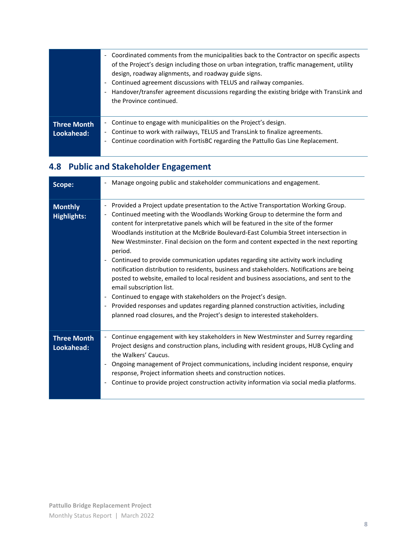|                                  | Coordinated comments from the municipalities back to the Contractor on specific aspects<br>$\blacksquare$<br>of the Project's design including those on urban integration, traffic management, utility<br>design, roadway alignments, and roadway guide signs.<br>Continued agreement discussions with TELUS and railway companies.<br>$\overline{\phantom{a}}$<br>Handover/transfer agreement discussions regarding the existing bridge with TransLink and<br>$\overline{\phantom{a}}$<br>the Province continued. |
|----------------------------------|--------------------------------------------------------------------------------------------------------------------------------------------------------------------------------------------------------------------------------------------------------------------------------------------------------------------------------------------------------------------------------------------------------------------------------------------------------------------------------------------------------------------|
| <b>Three Month</b><br>Lookahead: | Continue to engage with municipalities on the Project's design.<br>$\overline{\phantom{a}}$<br>Continue to work with railways, TELUS and TransLink to finalize agreements.<br>$\overline{\phantom{0}}$<br>Continue coordination with FortisBC regarding the Pattullo Gas Line Replacement.<br>$\overline{\phantom{a}}$                                                                                                                                                                                             |

## **4.8 Public and Stakeholder Engagement**

| Scope:                               | Manage ongoing public and stakeholder communications and engagement.<br>$\overline{\phantom{a}}$                                                                                                                                                                                                                                                                                                                                                                                                                                                                                                                                                                                                                                                                                                                                                                                                                                                                                                                                                                                                                                                               |
|--------------------------------------|----------------------------------------------------------------------------------------------------------------------------------------------------------------------------------------------------------------------------------------------------------------------------------------------------------------------------------------------------------------------------------------------------------------------------------------------------------------------------------------------------------------------------------------------------------------------------------------------------------------------------------------------------------------------------------------------------------------------------------------------------------------------------------------------------------------------------------------------------------------------------------------------------------------------------------------------------------------------------------------------------------------------------------------------------------------------------------------------------------------------------------------------------------------|
| <b>Monthly</b><br><b>Highlights:</b> | Provided a Project update presentation to the Active Transportation Working Group.<br>$\qquad \qquad \blacksquare$<br>Continued meeting with the Woodlands Working Group to determine the form and<br>$\qquad \qquad \blacksquare$<br>content for interpretative panels which will be featured in the site of the former<br>Woodlands institution at the McBride Boulevard-East Columbia Street intersection in<br>New Westminster. Final decision on the form and content expected in the next reporting<br>period.<br>Continued to provide communication updates regarding site activity work including<br>$\qquad \qquad \blacksquare$<br>notification distribution to residents, business and stakeholders. Notifications are being<br>posted to website, emailed to local resident and business associations, and sent to the<br>email subscription list.<br>Continued to engage with stakeholders on the Project's design.<br>$\overline{\phantom{0}}$<br>Provided responses and updates regarding planned construction activities, including<br>$\overline{\phantom{a}}$<br>planned road closures, and the Project's design to interested stakeholders. |
| <b>Three Month</b><br>Lookahead:     | Continue engagement with key stakeholders in New Westminster and Surrey regarding<br>Project designs and construction plans, including with resident groups, HUB Cycling and<br>the Walkers' Caucus.<br>Ongoing management of Project communications, including incident response, enquiry<br>$\overline{\phantom{0}}$<br>response, Project information sheets and construction notices.<br>Continue to provide project construction activity information via social media platforms.<br>$\qquad \qquad \blacksquare$                                                                                                                                                                                                                                                                                                                                                                                                                                                                                                                                                                                                                                          |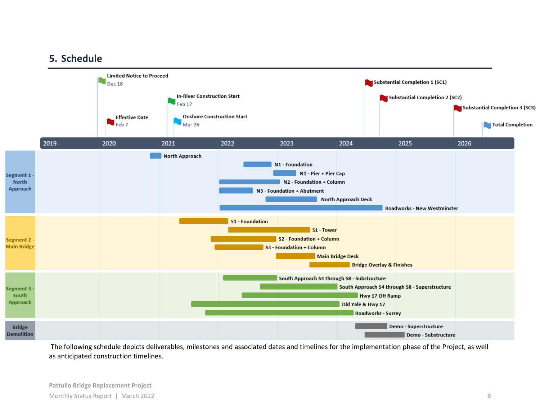#### **5. Schedule**



The following schedule depicts deliverables, milestones and associated dates and timelines for the implementation phase of the Project, as well as anticipated construction timelines.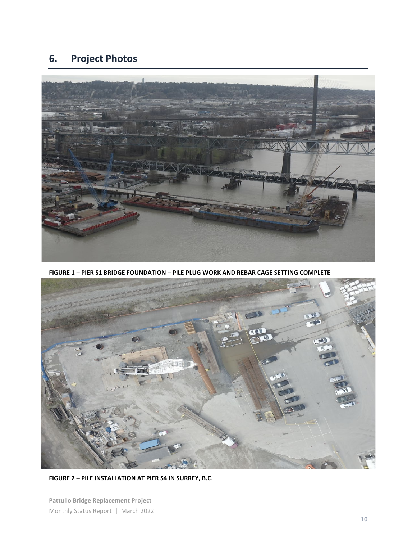## **6. Project Photos**



**FIGURE 1 – PIER S1 BRIDGE FOUNDATION – PILE PLUG WORK AND REBAR CAGE SETTING COMPLETE**



**FIGURE 2 – PILE INSTALLATION AT PIER S4 IN SURREY, B.C.**

**Pattullo Bridge Replacement Project** Monthly Status Report | March 2022